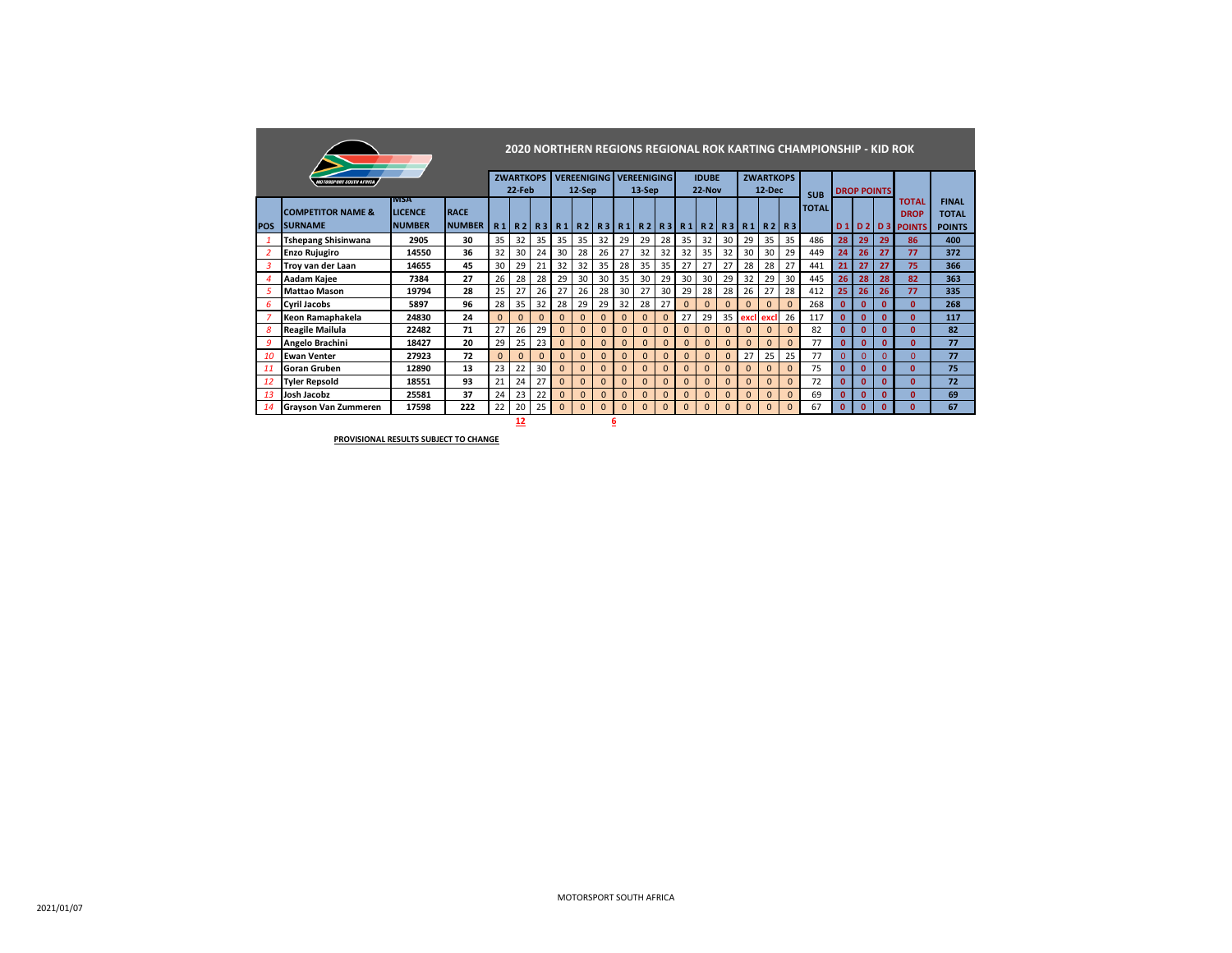|                        |                                       |                |               |              |                  |          |                 |                                                 |              |              |              |              |              |              |                |              |                  |              | 2020 NORTHERN REGIONS REGIONAL ROK KARTING CHAMPIONSHIP - KID ROK |                 |                    |              |                     |               |
|------------------------|---------------------------------------|----------------|---------------|--------------|------------------|----------|-----------------|-------------------------------------------------|--------------|--------------|--------------|--------------|--------------|--------------|----------------|--------------|------------------|--------------|-------------------------------------------------------------------|-----------------|--------------------|--------------|---------------------|---------------|
|                        | <i><b>MOTORSPORT SOUTH AFRICA</b></i> |                |               |              | <b>ZWARTKOPS</b> |          |                 | <b>VEREENIGING VEREENIGING</b>                  |              |              |              |              |              | <b>IDUBE</b> |                |              | <b>ZWARTKOPS</b> |              |                                                                   |                 |                    |              |                     |               |
|                        |                                       | IMSA           |               |              | 22-Feb           |          |                 | 12-Sep                                          |              |              | 13-Sep       |              |              | $22-Nov$     |                |              | $12$ -Dec        |              | <b>SUB</b>                                                        |                 | <b>DROP POINTS</b> |              | TOTAL               | <b>FINAL</b>  |
|                        | <b>COMPETITOR NAME &amp;</b>          | <b>LICENCE</b> | <b>RACE</b>   |              |                  |          |                 |                                                 |              |              |              |              |              |              |                |              |                  |              | <b>TOTAL</b>                                                      |                 |                    |              | <b>DROP</b>         | <b>TOTAL</b>  |
| <b>POS</b>             | <b>SURNAME</b>                        | <b>NUMBER</b>  | <b>NUMBER</b> | R1           |                  |          |                 | R2 R3 R1 R2 R3 R1 R2 R3 R1 R2 R3 R1 R3 R1 R2 R3 |              |              |              |              |              |              |                |              |                  |              |                                                                   |                 |                    |              | <b>D1D2D3POINTS</b> | <b>POINTS</b> |
|                        | <b>Tshepang Shisinwana</b>            | 2905           | 30            | 35           | 32               | 35       | 35 <sup>1</sup> | 35                                              | 32           | 29           | 29           | 28           | 35           | 32           | 30             | 29           | 35               | 35           | 486                                                               | 28              | 29                 | 29           | 86                  | 400           |
| $\overline{2}$         | <b>Enzo Rujugiro</b>                  | 14550          | 36            | 32           | 30               | 24       | 30              | 28                                              | 26           | 27           | 32           | 32           | 32           | 35           | 32             | 30           | 30               | 29           | 449                                                               | 24              | 26                 | 27           | 77                  | 372           |
| 3                      | Trov van der Laan                     | 14655          | 45            | 30           | 29               | 21       | 32              | 32                                              | 35           | 28           | 35           | 35           | 27           | 27           | 27             | 28           | 28               | 27           | 441                                                               | 21              | 27                 | 27           | 75                  | 366           |
| $\boldsymbol{\Lambda}$ | Aadam Kajee                           | 7384           | 27            | 26           | 28               | 28       | 29              | 30                                              | 30           | 35           | 30           | 29           | 30           | 30           | 29             | 32           | 29               | 30           | 445                                                               | 26 <sup>2</sup> | 28                 | 28           | 82                  | 363           |
| 5                      | <b>Mattao Mason</b>                   | 19794          | 28            | 25           | 27               | 26       | 27              | 26                                              | 28           | 30           | 27           | 30           | 29           | 28           | 28             | 26           | 27               | 28           | 412                                                               | 25              | 26                 | 26           | 77                  | 335           |
| 6                      | <b>Cyril Jacobs</b>                   | 5897           | 96            | 28           | 35               | 32       | 28              | 29                                              | 29           | 32           | 28           | 27           | $\mathbf{0}$ | $\mathbf{0}$ | $\mathbf{0}$   | $\mathbf{0}$ | $\mathbf{0}$     | $\mathbf{0}$ | 268                                                               | $\mathbf{0}$    | $\mathbf{0}$       | $\mathbf{0}$ | $\mathbf{0}$        | 268           |
| $\overline{7}$         | Keon Ramaphakela                      | 24830          | 24            | $\Omega$     | $\Omega$         | $\Omega$ |                 | $\Omega$                                        | $\Omega$     | $\Omega$     | $\Omega$     | $\Omega$     | 27           | 29           | 35             | excl         | exc              | 26           | 117                                                               | $\mathbf{0}$    | $\mathbf{0}$       | $\mathbf{0}$ | $\mathbf{0}$        | 117           |
| 8                      | <b>Reagile Mailula</b>                | 22482          | 71            | 27           | 26               | 29       | $\Omega$        | $\Omega$                                        | $\Omega$     | $\Omega$     | $\Omega$     | $\Omega$     | $\Omega$     | $\Omega$     | $\Omega$       | $\Omega$     | $\Omega$         | $\Omega$     | 82                                                                | $\mathbf{0}$    | $\mathbf{0}$       | $\mathbf{0}$ | $\mathbf{0}$        | 82            |
| 9                      | Angelo Brachini                       | 18427          | 20            | 29           | 25               | 23       | $\Omega$        | $\mathbf{0}$                                    | $\mathbf{0}$ | $\mathbf{0}$ | $\mathbf{0}$ | $\Omega$     | $\Omega$     | $\Omega$     | $\Omega$       | $\mathbf{0}$ | $\mathbf{0}$     | $\Omega$     | 77                                                                | $\mathbf{0}$    | $\mathbf{0}$       | $\mathbf{0}$ | $\mathbf{0}$        | 77            |
| 10                     | <b>Ewan Venter</b>                    | 27923          | 72            | $\mathbf{0}$ | $\mathbf{0}$     | $\Omega$ | $\Omega$        | $\mathbf{0}$                                    | $\mathbf{0}$ | $\mathbf{0}$ | $\mathbf{0}$ | $\mathbf 0$  | $\mathbf{0}$ | $\mathbf{0}$ | $\overline{0}$ | 27           | 25               | 25           | 77                                                                | $\mathbf{0}$    | $\overline{0}$     | $\Omega$     | $\Omega$            | 77            |
| 11                     | Goran Gruben                          | 12890          | 13            | 23           | 22               | 30       |                 | $\mathbf{0}$                                    | $\Omega$     | $\Omega$     | $\Omega$     | $\Omega$     | $\Omega$     | $\Omega$     | $\mathbf{0}$   | $\Omega$     | $\Omega$         | $\Omega$     | 75                                                                | $\mathbf{0}$    | $\mathbf{0}$       | $\mathbf{0}$ | $\mathbf{0}$        | 75            |
| 12                     | <b>Tyler Repsold</b>                  | 18551          | 93            | 21           | 24               | 27       | $\Omega$        | $\Omega$                                        | $\Omega$     | $\Omega$     | $\mathbf{0}$ | $\Omega$     | $\Omega$     | $\Omega$     | $\Omega$       | $\Omega$     | $\mathbf{0}$     | $\Omega$     | 72                                                                | $\mathbf{0}$    | $\mathbf{0}$       | $\mathbf{0}$ | $\mathbf{0}$        | 72            |
| 13                     | Josh Jacobz                           | 25581          | 37            | 24           | 23               | 22       | $\Omega$        | $\mathbf{0}$                                    | $\mathbf{0}$ | $\mathbf{0}$ | $\mathbf{0}$ | $\mathbf{0}$ | $\mathbf{0}$ | $\Omega$     | $\mathbf{0}$   | $\mathbf{0}$ | $\mathbf{0}$     | $\mathbf{0}$ | 69                                                                | $\mathbf{0}$    | $\mathbf{0}$       | $\mathbf{0}$ | $\mathbf{0}$        | 69            |
| <b>14</b>              | <b>Grayson Van Zummeren</b>           | 17598          | 222           | 22           | 20               | 25       | $\Omega$        | $\Omega$                                        | $\mathbf{0}$ | $\mathbf{0}$ | $\mathbf{0}$ | $\mathbf{0}$ | $\mathbf{0}$ | $\Omega$     | $\mathbf{0}$   | $\mathbf{0}$ | $\mathbf{0}$     | $\mathbf{0}$ | 67                                                                | $\mathbf{0}$    | $\mathbf{0}$       | $\mathbf{0}$ | $\mathbf{0}$        | 67            |
|                        |                                       |                |               |              | 12               |          |                 |                                                 |              | 6            |              |              |              |              |                |              |                  |              |                                                                   |                 |                    |              |                     |               |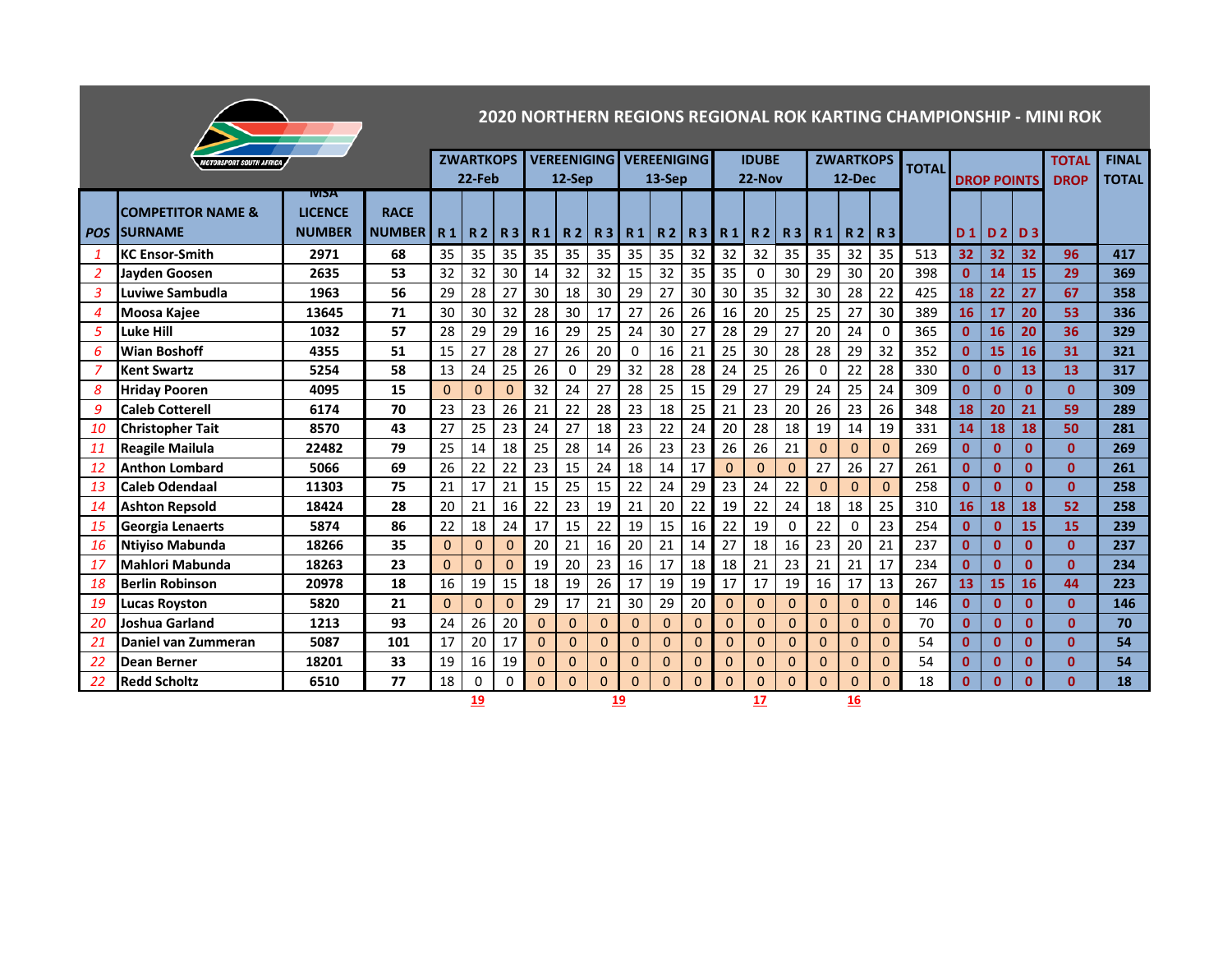|                |                                |                |               |           |                  |          |          |                |          |                             |                                |                 |                 |              |                 |          | 2020 NORTHERN REGIONS REGIONAL ROK KARTING CHAMPIONSHIP - MINI ROK |              |              |                 |                    |              |              |              |
|----------------|--------------------------------|----------------|---------------|-----------|------------------|----------|----------|----------------|----------|-----------------------------|--------------------------------|-----------------|-----------------|--------------|-----------------|----------|--------------------------------------------------------------------|--------------|--------------|-----------------|--------------------|--------------|--------------|--------------|
|                | <b>IOTORSPORT SOUTH AFRICA</b> |                |               |           | <b>ZWARTKOPS</b> |          |          |                |          |                             | <b>VEREENIGING VEREENIGING</b> |                 |                 | <b>IDUBE</b> |                 |          | <b>ZWARTKOPS</b>                                                   |              |              |                 |                    |              | <b>TOTAL</b> | <b>FINAL</b> |
|                |                                |                |               |           | 22-Feb           |          |          | 12-Sep         |          |                             | $13-$ Sep                      |                 |                 | 22-Nov       |                 |          | 12-Dec                                                             |              | <b>TOTAL</b> |                 | <b>DROP POINTS</b> |              | <b>DROP</b>  | <b>TOTAL</b> |
|                |                                | <b>IVISA</b>   |               |           |                  |          |          |                |          |                             |                                |                 |                 |              |                 |          |                                                                    |              |              |                 |                    |              |              |              |
|                | <b>COMPETITOR NAME &amp;</b>   | <b>LICENCE</b> | <b>RACE</b>   |           |                  |          |          |                |          |                             |                                |                 |                 |              |                 |          |                                                                    |              |              |                 |                    |              |              |              |
|                | <b>POS SURNAME</b>             | <b>NUMBER</b>  | <b>NUMBER</b> | <b>R1</b> |                  |          |          |                |          | R2   R3   R1   R2   R3   R1 |                                |                 | <b>R2 R3 R1</b> |              | R2 R3           | R1       |                                                                    | R2 R3        |              |                 | $D1$ $D2$ $D3$     |              |              |              |
| $\mathbf{1}$   | <b>KC Ensor-Smith</b>          | 2971           | 68            | 35        | 35               | 35       | 35       | 35             | 35       | 35                          | 35                             | 32              | 32              | 32           | 35 <sub>2</sub> | 35       | 32                                                                 | 35           | 513          | 32 <sub>2</sub> | 32                 | 32           | 96           | 417          |
| 2              | <b>Javden Goosen</b>           | 2635           | 53            | 32        | 32               | 30       | 14       | 32             | 32       | 15                          | 32                             | 35              | 35              | $\mathbf 0$  | 30              | 29       | 30                                                                 | 20           | 398          | $\mathbf{0}$    | 14                 | 15           | 29           | 369          |
| 3              | Luviwe Sambudla                | 1963           | 56            | 29        | 28               | 27       | 30       | 18             | 30       | 29                          | 27                             | 30              | 30              | 35           | 32              | 30       | 28                                                                 | 22           | 425          | 18              | 22                 | 27           | 67           | 358          |
| $\overline{4}$ | <b>Moosa Kajee</b>             | 13645          | 71            | 30        | 30               | 32       | 28       | 30             | 17       | 27                          | 26                             | 26              | 16              | 20           | 25              | 25       | 27                                                                 | 30           | 389          | 16              | 17                 | 20           | 53           | 336          |
| 5              | Luke Hill                      | 1032           | 57            | 28        | 29               | 29       | 16       | 29             | 25       | 24                          | 30                             | 27              | 28              | 29           | 27              | 20       | 24                                                                 | $\mathbf 0$  | 365          | $\mathbf{0}$    | 16                 | 20           | 36           | 329          |
| 6              | <b>Wian Boshoff</b>            | 4355           | 51            | 15        | 27               | 28       | 27       | 26             | 20       | $\Omega$                    | 16                             | 21              | 25              | 30           | 28              | 28       | 29                                                                 | 32           | 352          | $\mathbf{0}$    | 15                 | 16           | 31           | 321          |
| 7              | <b>Kent Swartz</b>             | 5254           | 58            | 13        | 24               | 25       | 26       | $\Omega$       | 29       | 32                          | 28                             | 28              | 24              | 25           | 26              | 0        | 22                                                                 | 28           | 330          | $\mathbf{0}$    | $\mathbf{0}$       | 13           | 13           | 317          |
| 8              | <b>Hriday Pooren</b>           | 4095           | 15            | $\Omega$  | $\Omega$         | $\Omega$ | 32       | 24             | 27       | 28                          | 25                             | 15              | 29              | 27           | 29              | 24       | 25                                                                 | 24           | 309          | $\mathbf{0}$    | $\mathbf{0}$       | $\mathbf{0}$ | $\mathbf{0}$ | 309          |
| 9              | <b>Caleb Cotterell</b>         | 6174           | 70            | 23        | 23               | 26       | 21       | 22             | 28       | 23                          | 18                             | 25              | 21              | 23           | 20              | 26       | 23                                                                 | 26           | 348          | 18              | 20                 | 21           | 59           | 289          |
| 10             | <b>Christopher Tait</b>        | 8570           | 43            | 27        | 25               | 23       | 24       | 27             | 18       | 23                          | 22                             | 24              | 20              | 28           | 18              | 19       | 14                                                                 | 19           | 331          | 14              | 18                 | 18           | 50           | 281          |
| 11             | <b>Reagile Mailula</b>         | 22482          | 79            | 25        | 14               | 18       | 25       | 28             | 14       | 26                          | 23                             | 23              | 26              | 26           | 21              | $\Omega$ | $\Omega$                                                           | $\mathbf{0}$ | 269          | $\mathbf{0}$    | $\mathbf{0}$       | $\mathbf{0}$ | $\mathbf{0}$ | 269          |
| 12             | <b>Anthon Lombard</b>          | 5066           | 69            | 26        | 22               | 22       | 23       | 15             | 24       | 18                          | 14                             | 17              | $\Omega$        | $\Omega$     | $\Omega$        | 27       | 26                                                                 | 27           | 261          | $\mathbf{0}$    | $\mathbf{0}$       | $\mathbf{0}$ | $\mathbf{0}$ | 261          |
| 13             | Caleb Odendaal                 | 11303          | 75            | 21        | 17               | 21       | 15       | 25             | 15       | 22                          | 24                             | 29              | 23              | 24           | 22              | $\Omega$ | $\Omega$                                                           | $\Omega$     | 258          | $\mathbf{0}$    | $\mathbf{0}$       | $\mathbf{0}$ | $\Omega$     | 258          |
| 14             | <b>Ashton Repsold</b>          | 18424          | 28            | 20        | 21               | 16       | 22       | 23             | 19       | 21                          | 20                             | $\overline{22}$ | 19              | 22           | 24              | 18       | 18                                                                 | 25           | 310          | 16              | 18                 | 18           | 52           | 258          |
| 15             | <b>Georgia Lenaerts</b>        | 5874           | 86            | 22        | 18               | 24       | 17       | 15             | 22       | 19                          | 15                             | 16              | 22              | 19           | $\Omega$        | 22       | 0                                                                  | 23           | 254          | $\mathbf{0}$    | $\mathbf{0}$       | 15           | 15           | 239          |
| 16             | <b>Ntiviso Mabunda</b>         | 18266          | 35            | $\Omega$  | $\mathbf{0}$     | $\Omega$ | 20       | 21             | 16       | 20                          | 21                             | 14              | 27              | 18           | 16              | 23       | 20                                                                 | 21           | 237          | $\mathbf{0}$    | $\mathbf{0}$       | $\mathbf{0}$ | $\mathbf{0}$ | 237          |
| 17             | Mahlori Mabunda                | 18263          | 23            | $\Omega$  | $\Omega$         | $\Omega$ | 19       | 20             | 23       | 16                          | 17                             | 18              | 18              | 21           | 23              | 21       | 21                                                                 | 17           | 234          | $\mathbf{0}$    | $\mathbf{0}$       | $\mathbf{0}$ | $\mathbf{0}$ | 234          |
| 18             | Berlin Robinson                | 20978          | 18            | 16        | 19               | 15       | 18       | 19             | 26       | 17                          | 19                             | 19              | 17              | 17           | 19              | 16       | 17                                                                 | 13           | 267          | 13              | 15                 | 16           | 44           | 223          |
| 19             | <b>Lucas Royston</b>           | 5820           | 21            | $\Omega$  | $\Omega$         | $\Omega$ | 29       | 17             | 21       | 30                          | 29                             | 20              | $\Omega$        | $\Omega$     | $\Omega$        | $\Omega$ | $\Omega$                                                           | $\Omega$     | 146          | $\mathbf{0}$    | $\mathbf{0}$       | $\mathbf{0}$ | $\mathbf{0}$ | 146          |
| 20             | Joshua Garland                 | 1213           | 93            | 24        | 26               | 20       | $\Omega$ | $\overline{0}$ | 0        | $\Omega$                    | $\overline{0}$                 | $\overline{0}$  | $\Omega$        | $\Omega$     | $\Omega$        | $\Omega$ | $\Omega$                                                           | $\mathbf{0}$ | 70           | $\mathbf{0}$    | $\mathbf{0}$       | $\mathbf{0}$ | $\mathbf{0}$ | 70           |
| 21             | Daniel van Zummeran            | 5087           | 101           | 17        | 20               | 17       | $\Omega$ | $\Omega$       | $\Omega$ | $\Omega$                    | $\Omega$                       | $\Omega$        | $\Omega$        | $\Omega$     | $\Omega$        | $\Omega$ | $\Omega$                                                           | $\mathbf{0}$ | 54           | $\mathbf{0}$    | $\mathbf{0}$       | $\mathbf{0}$ | $\mathbf{0}$ | 54           |
| 22             | Dean Berner                    | 18201          | 33            | 19        | 16               | 19       | $\Omega$ | $\Omega$       | $\Omega$ | $\Omega$                    | $\Omega$                       | $\Omega$        | $\Omega$        | $\Omega$     | $\Omega$        | $\Omega$ | $\Omega$                                                           | $\mathbf{0}$ | 54           | $\mathbf{0}$    | $\mathbf{0}$       | $\mathbf{0}$ | $\mathbf{0}$ | 54           |
| 22             | <b>Redd Scholtz</b>            | 6510           | 77            | 18        | 0                | 0        | $\Omega$ | $\Omega$       | $\Omega$ | $\Omega$                    | $\Omega$                       | $\Omega$        | $\mathbf{0}$    | $\mathbf{0}$ | $\Omega$        | $\Omega$ | $\mathbf{0}$                                                       | $\Omega$     | 18           | $\mathbf{0}$    | $\mathbf{0}$       | $\mathbf{0}$ | $\mathbf{0}$ | 18           |
|                |                                |                |               |           |                  | 19       |          |                |          | 17                          |                                |                 | 16              |              |                 |          |                                                                    |              |              |                 |                    |              |              |              |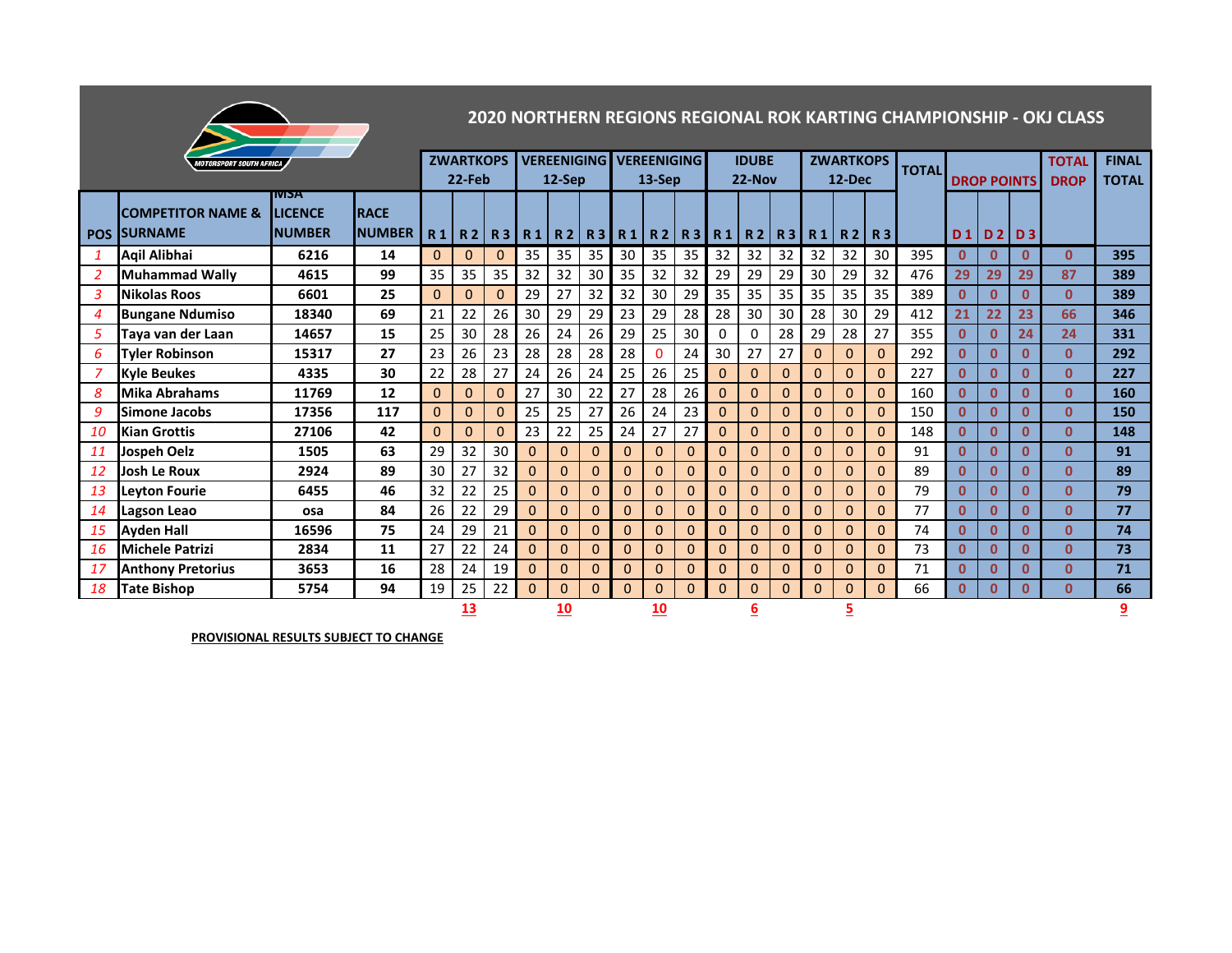|                |                                       |                |               |          |                  |              |          |              |              |              |                                |          |                |              |              |              |                  |                |              |                |                    |              | 2020 NORTHERN REGIONS REGIONAL ROK KARTING CHAMPIONSHIP - OKJ CLASS |              |
|----------------|---------------------------------------|----------------|---------------|----------|------------------|--------------|----------|--------------|--------------|--------------|--------------------------------|----------|----------------|--------------|--------------|--------------|------------------|----------------|--------------|----------------|--------------------|--------------|---------------------------------------------------------------------|--------------|
|                | <i><b>MOTORSPORT SOUTH AFRICA</b></i> |                |               |          | <b>ZWARTKOPS</b> |              |          |              |              |              | <b>VEREENIGING VEREENIGING</b> |          |                | <b>IDUBE</b> |              |              | <b>ZWARTKOPS</b> |                |              |                |                    |              | <b>TOTAL</b>                                                        | <b>FINAL</b> |
|                |                                       |                |               |          | 22-Feb           |              |          | 12-Sep       |              |              | $13-$ Sep                      |          |                | $22-Nov$     |              |              | 12-Dec           |                | <b>TOTAL</b> |                | <b>DROP POINTS</b> |              | <b>DROP</b>                                                         | <b>TOTAL</b> |
|                |                                       | <b>NISA</b>    |               |          |                  |              |          |              |              |              |                                |          |                |              |              |              |                  |                |              |                |                    |              |                                                                     |              |
|                | <b>COMPETITOR NAME &amp;</b>          | <b>LICENCE</b> | <b>RACE</b>   |          |                  |              |          |              |              |              |                                |          |                |              |              |              |                  |                |              |                |                    |              |                                                                     |              |
|                | <b>POS SURNAME</b>                    | <b>NUMBER</b>  | <b>NUMBER</b> | R1       |                  |              | R2 R3 R1 |              |              |              | R2   R3   R1   R2   R3   R1    |          |                |              | R2 R3 R1     |              |                  | R2 R3          |              | D <sub>1</sub> |                    | D2 D3        |                                                                     |              |
| $\mathbf{1}$   | Agil Alibhai                          | 6216           | 14            | $\Omega$ | $\Omega$         | $\mathbf{0}$ | 35       | 35           | 35           | 30           | 35                             | 35       | 32             | 32           | 32           | 32           | 32               | 30             | 395          | $\mathbf{0}$   | 0                  | 0            | 0                                                                   | 395          |
| 2              | <b>Muhammad Wally</b>                 | 4615           | 99            | 35       | 35               | 35           | 32       | 32           | 30           | 35           | 32                             | 32       | 29             | 29           | 29           | 30           | 29               | 32             | 476          | 29             | 29                 | 29           | 87                                                                  | 389          |
| $\overline{3}$ | Nikolas Roos                          | 6601           | 25            | $\Omega$ | $\mathbf{0}$     | $\mathbf{0}$ | 29       | 27           | 32           | 32           | 30                             | 29       | 35             | 35           | 35           | 35           | 35               | 35             | 389          | $\mathbf{0}$   | $\mathbf{0}$       | $\mathbf{0}$ | $\Omega$                                                            | 389          |
| $\overline{4}$ | <b>Bungane Ndumiso</b>                | 18340          | 69            | 21       | 22               | 26           | 30       | 29           | 29           | 23           | 29                             | 28       | 28             | 30           | 30           | 28           | 30               | 29             | 412          | 21             | 22                 | 23           | 66                                                                  | 346          |
| $\overline{5}$ | Taya van der Laan                     | 14657          | 15            | 25       | 30               | 28           | 26       | 24           | 26           | 29           | 25                             | 30       | 0              | $\Omega$     | 28           | 29           | 28               | 27             | 355          | $\mathbf{0}$   | $\Omega$           | 24           | 24                                                                  | 331          |
| 6              | <b>Tyler Robinson</b>                 | 15317          | 27            | 23       | 26               | 23           | 28       | 28           | 28           | 28           | $\Omega$                       | 24       | 30             | 27           | 27           | $\Omega$     | 0                | $\mathbf{0}$   | 292          | $\mathbf{0}$   | $\Omega$           | $\mathbf{0}$ | $\mathbf{0}$                                                        | 292          |
| 7              | <b>Kyle Beukes</b>                    | 4335           | 30            | 22       | 28               | 27           | 24       | 26           | 24           | 25           | 26                             | 25       | $\mathbf{0}$   | $\Omega$     | $\Omega$     | $\Omega$     | $\Omega$         | $\Omega$       | 227          | $\Omega$       | $\mathbf{0}$       | $\mathbf{0}$ | $\mathbf{0}$                                                        | 227          |
| 8              | Mika Abrahams                         | 11769          | 12            | $\Omega$ | $\Omega$         | $\Omega$     | 27       | 30           | 22           | 27           | 28                             | 26       | $\Omega$       | $\Omega$     | $\Omega$     | $\Omega$     | $\Omega$         | $\Omega$       | 160          | $\mathbf{0}$   | $\mathbf{0}$       | $\mathbf{0}$ | $\mathbf{0}$                                                        | 160          |
| 9              | Simone Jacobs                         | 17356          | 117           | $\Omega$ | $\Omega$         | $\mathbf{0}$ | 25       | 25           | 27           | 26           | 24                             | 23       | 0              | $\mathbf{0}$ | $\mathbf{0}$ | $\Omega$     | 0                | $\Omega$       | 150          | $\mathbf{0}$   | $\Omega$           | $\mathbf{0}$ | $\mathbf{0}$                                                        | 150          |
| 10             | <b>Kian Grottis</b>                   | 27106          | 42            | $\Omega$ | $\mathbf{0}$     | $\mathbf{0}$ | 23       | 22           | 25           | 24           | 27                             | 27       | $\overline{0}$ | $\mathbf{0}$ | $\mathbf{0}$ | $\Omega$     | 0                | $\overline{0}$ | 148          | $\mathbf{0}$   | $\Omega$           | $\Omega$     | $\Omega$                                                            | 148          |
| 11             | Jospeh Oelz                           | 1505           | 63            | 29       | 32               | 30           | $\Omega$ | $\Omega$     | $\Omega$     | $\Omega$     | $\Omega$                       | $\Omega$ | $\Omega$       | $\Omega$     | $\Omega$     | $\Omega$     | $\Omega$         | $\Omega$       | 91           | $\Omega$       | $\mathbf{0}$       | $\mathbf{0}$ | $\mathbf{0}$                                                        | 91           |
| 12             | Josh Le Roux                          | 2924           | 89            | 30       | 27               | 32           | $\Omega$ | $\Omega$     | $\Omega$     | $\Omega$     | $\Omega$                       | $\Omega$ | $\mathbf{0}$   | $\Omega$     | $\Omega$     | $\Omega$     | $\Omega$         | $\Omega$       | 89           | $\mathbf{0}$   | $\mathbf{0}$       | $\Omega$     | $\Omega$                                                            | 89           |
| 13             | <b>Leyton Fourie</b>                  | 6455           | 46            | 32       | 22               | 25           | $\Omega$ | $\mathbf{0}$ | $\mathbf{0}$ | $\mathbf{0}$ | $\mathbf{0}$                   | 0        | $\mathbf{0}$   | $\mathbf{0}$ | $\mathbf{0}$ | 0            | 0                | 0              | 79           | $\mathbf{0}$   | $\mathbf{0}$       | $\mathbf{0}$ | $\mathbf{0}$                                                        | 79           |
| 14             | Lagson Leao                           | osa            | 84            | 26       | 22               | 29           | $\Omega$ | $\mathbf{0}$ | $\Omega$     | $\Omega$     | $\Omega$                       | $\Omega$ | $\mathbf{0}$   | $\mathbf{0}$ | $\mathbf{0}$ | $\Omega$     | $\Omega$         | 0              | 77           | $\mathbf{0}$   | $\Omega$           | $\mathbf{0}$ | $\mathbf{0}$                                                        | 77           |
| 15             | <b>Ayden Hall</b>                     | 16596          | 75            | 24       | 29               | 21           | $\Omega$ | $\Omega$     | $\Omega$     | $\Omega$     | $\Omega$                       | $\Omega$ | $\Omega$       | $\Omega$     | $\Omega$     | $\Omega$     | $\Omega$         | $\Omega$       | 74           | $\mathbf{0}$   | $\mathbf{0}$       | $\mathbf{0}$ | $\mathbf{0}$                                                        | 74           |
| 16             | <b>Michele Patrizi</b>                | 2834           | 11            | 27       | 22               | 24           | $\Omega$ | $\Omega$     | $\Omega$     | $\Omega$     | $\Omega$                       | $\Omega$ | $\Omega$       | $\Omega$     | $\mathbf{0}$ | $\Omega$     | 0                | 0              | 73           | $\mathbf{0}$   | $\mathbf{0}$       | $\mathbf{0}$ | 0                                                                   | 73           |
| 17             | <b>Anthony Pretorius</b>              | 3653           | 16            | 28       | 24               | 19           | $\Omega$ | $\mathbf{0}$ | $\Omega$     | $\Omega$     | $\Omega$                       | $\Omega$ | $\mathbf{0}$   | $\mathbf{0}$ | $\mathbf{0}$ | $\mathbf{0}$ | 0                | $\Omega$       | 71           | $\mathbf 0$    | $\mathbf{0}$       | $\mathbf{0}$ | $\mathbf{0}$                                                        | 71           |
| 18             | <b>Tate Bishop</b>                    | 5754           | 94            | 19       | 25               | 22           | $\Omega$ | $\Omega$     | $\Omega$     | $\Omega$     | $\Omega$                       | $\Omega$ | $\Omega$       | $\Omega$     | $\Omega$     | $\Omega$     | 0                | 0              | 66           | $\mathbf{0}$   | <sup>0</sup>       | $\mathbf{0}$ | U                                                                   | 66           |
|                |                                       |                |               |          | 13               |              |          | 10           |              |              | 10                             |          |                | 6            |              |              |                  |                |              |                |                    |              |                                                                     | 9            |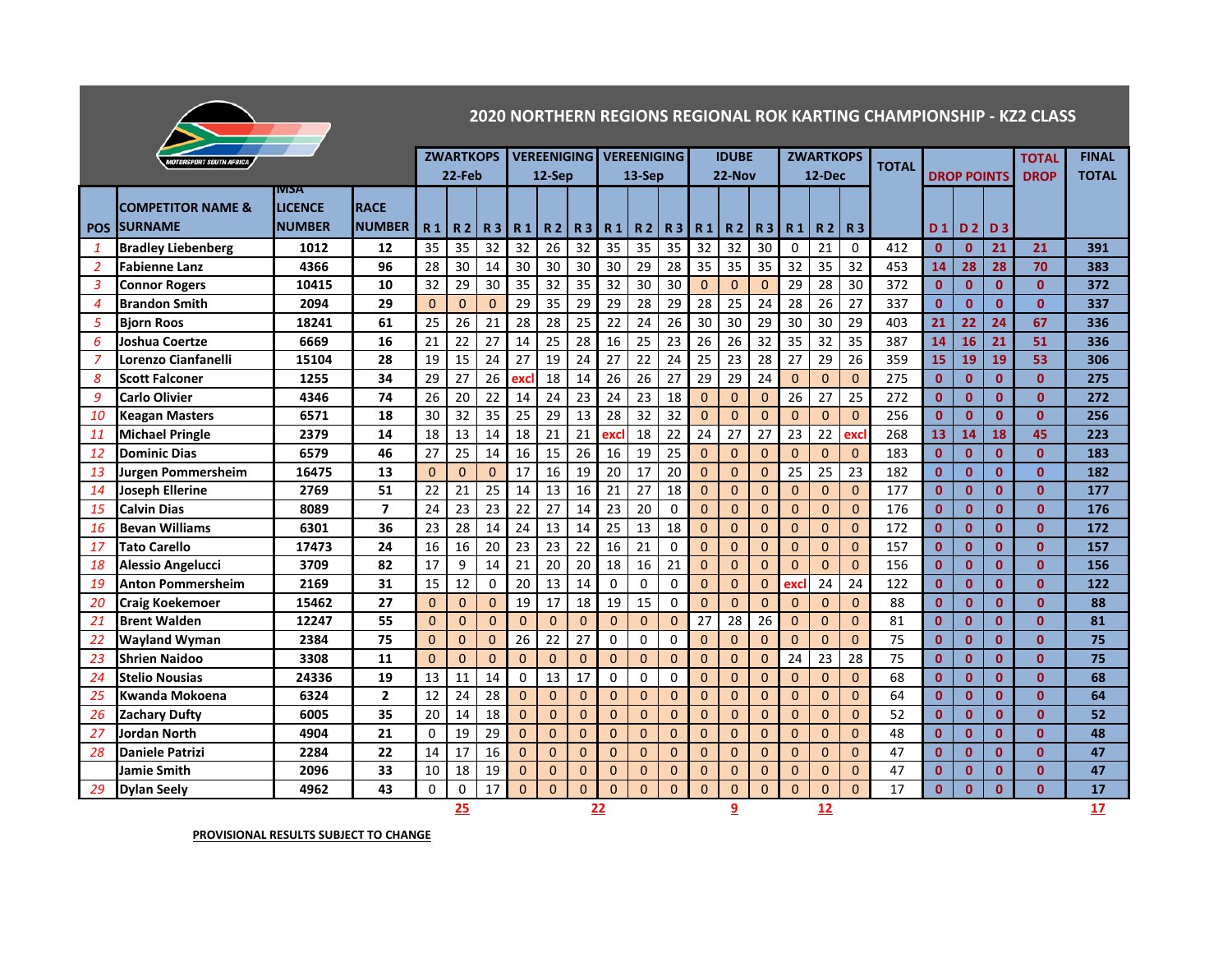

## **2020 NORTHERN REGIONS REGIONAL ROK KARTING CHAMPIONSHIP - KZ2 CLASS**

|                | <b>MOTORSPORT SOUTH AFRICA</b> |                                |               |                | <b>ZWARTKOPS</b> |              |           |          | <b>VEREENIGING VEREENIGING</b> |                |                |                |                | <b>IDUBE</b> |                |                | <b>ZWARTKOPS</b> |                | <b>TOTAL</b> |              |                    |                | <b>TOTAL</b> | <b>FINAL</b> |
|----------------|--------------------------------|--------------------------------|---------------|----------------|------------------|--------------|-----------|----------|--------------------------------|----------------|----------------|----------------|----------------|--------------|----------------|----------------|------------------|----------------|--------------|--------------|--------------------|----------------|--------------|--------------|
|                |                                |                                |               |                | 22-Feb           |              |           | $12-Sep$ |                                |                | 13-Sep         |                |                | 22-Nov       |                |                | 12-Dec           |                |              |              | <b>DROP POINTS</b> |                | <b>DROP</b>  | <b>TOTAL</b> |
|                | <b>COMPETITOR NAME &amp;</b>   | <b>IVISA</b><br><b>LICENCE</b> | <b>RACE</b>   |                |                  |              |           |          |                                |                |                |                |                |              |                |                |                  |                |              |              |                    |                |              |              |
| <b>POS</b>     | <b>SURNAME</b>                 | <b>NUMBER</b>                  | <b>NUMBER</b> | R <sub>1</sub> | R <sub>2</sub>   | <b>R3</b>    | <b>R1</b> | R2       | <b>R3</b>                      | R <sub>1</sub> | <b>R2</b>      | R <sub>3</sub> | R <sub>1</sub> | <b>R2</b>    | R <sub>3</sub> | R1             | <b>R2</b>        | R3             |              | D 1          | D <sub>2</sub>     | D <sub>3</sub> |              |              |
| -1             | <b>Bradley Liebenberg</b>      | 1012                           | 12            | 35             | 35               | 32           | 32        | 26       | 32                             | 35             | 35             | 35             | 32             | 32           | 30             | $\Omega$       | 21               | $\Omega$       | 412          | $\mathbf{0}$ | $\mathbf{0}$       | 21             | 21           | 391          |
| 2              | <b>Fabienne Lanz</b>           | 4366                           | 96            | 28             | 30               | 14           | 30        | 30       | 30                             | 30             | 29             | 28             | 35             | 35           | 35             | 32             | 35               | 32             | 453          | 14           | 28                 | 28             | 70           | 383          |
| $\overline{3}$ | <b>Connor Rogers</b>           | 10415                          | 10            | 32             | 29               | 30           | 35        | 32       | 35                             | 32             | 30             | 30             | $\Omega$       | $\Omega$     | $\Omega$       | 29             | 28               | 30             | 372          | $\mathbf{0}$ | $\mathbf{0}$       | $\mathbf{0}$   | $\mathbf{0}$ | 372          |
| 4              | <b>Brandon Smith</b>           | 2094                           | 29            | $\Omega$       | $\mathbf{0}$     | $\mathbf{0}$ | 29        | 35       | 29                             | 29             | 28             | 29             | 28             | 25           | 24             | 28             | 26               | 27             | 337          | $\mathbf{0}$ | $\mathbf 0$        | $\mathbf{0}$   | $\mathbf{0}$ | 337          |
| 5              | <b>Biorn Roos</b>              | 18241                          | 61            | 25             | 26               | 21           | 28        | 28       | 25                             | 22             | 24             | 26             | 30             | 30           | 29             | 30             | 30               | 29             | 403          | 21           | 22                 | 24             | 67           | 336          |
| 6              | Joshua Coertze                 | 6669                           | 16            | 21             | 22               | 27           | 14        | 25       | 28                             | 16             | 25             | 23             | 26             | 26           | 32             | 35             | 32               | 35             | 387          | 14           | 16                 | 21             | 51           | 336          |
| 7              | Lorenzo Cianfanelli            | 15104                          | 28            | 19             | $\overline{15}$  | 24           | 27        | 19       | 24                             | 27             | 22             | 24             | 25             | 23           | 28             | 27             | 29               | 26             | 359          | 15           | 19                 | 19             | 53           | 306          |
| 8              | <b>Scott Falconer</b>          | 1255                           | 34            | 29             | 27               | 26           | exc       | 18       | 14                             | 26             | 26             | 27             | 29             | 29           | 24             | 0              | $\Omega$         | $\Omega$       | 275          | $\mathbf{0}$ | $\mathbf{0}$       | $\mathbf{0}$   | $\mathbf{0}$ | 275          |
| 9              | <b>Carlo Olivier</b>           | 4346                           | 74            | 26             | 20               | 22           | 14        | 24       | 23                             | 24             | 23             | 18             | $\Omega$       | $\Omega$     | $\Omega$       | 26             | 27               | 25             | 272          | $\mathbf{0}$ | $\mathbf{0}$       | $\mathbf{0}$   | $\mathbf{0}$ | 272          |
| 10             | <b>Keagan Masters</b>          | 6571                           | 18            | 30             | 32               | 35           | 25        | 29       | 13                             | 28             | 32             | 32             | $\Omega$       | $\Omega$     | $\Omega$       | $\Omega$       | $\Omega$         | $\Omega$       | 256          | $\mathbf{0}$ | $\mathbf{0}$       | $\mathbf{0}$   | $\mathbf{0}$ | 256          |
| 11             | <b>Michael Pringle</b>         | 2379                           | 14            | 18             | 13               | 14           | 18        | 21       | 21                             | excl           | 18             | 22             | 24             | 27           | 27             | 23             | 22               | exc            | 268          | 13           | 14                 | 18             | 45           | 223          |
| 12             | <b>Dominic Dias</b>            | 6579                           | 46            | 27             | 25               | 14           | 16        | 15       | 26                             | 16             | 19             | 25             | $\mathbf 0$    | $\Omega$     | $\Omega$       | 0              | $\mathbf{0}$     | $\Omega$       | 183          | $\mathbf{0}$ | $\mathbf{0}$       | $\mathbf{0}$   | $\mathbf{0}$ | 183          |
| 13             | <b>Jurgen Pommersheim</b>      | 16475                          | 13            | $\mathbf{0}$   | $\mathbf{0}$     | $\mathbf{0}$ | 17        | 16       | 19                             | 20             | 17             | 20             | $\mathbf{0}$   | $\mathbf 0$  | $\Omega$       | 25             | 25               | 23             | 182          | $\mathbf{0}$ | $\mathbf{0}$       | $\mathbf{0}$   | $\mathbf{0}$ | 182          |
| 14             | <b>Joseph Ellerine</b>         | 2769                           | 51            | 22             | 21               | 25           | 14        | 13       | 16                             | 21             | 27             | 18             | $\mathbf{0}$   | $\Omega$     | $\Omega$       | $\mathbf{0}$   | $\mathbf{0}$     | $\mathbf{0}$   | 177          | $\mathbf{0}$ | $\mathbf{0}$       | $\mathbf{0}$   | $\mathbf{0}$ | 177          |
| 15             | <b>Calvin Dias</b>             | 8089                           | 7             | 24             | 23               | 23           | 22        | 27       | 14                             | 23             | 20             | $\mathbf 0$    | $\mathbf 0$    | $\Omega$     | $\Omega$       | $\overline{0}$ | $\pmb{0}$        | $\mathbf{0}$   | 176          | $\mathbf{0}$ | $\mathbf{0}$       | $\mathbf{0}$   | $\mathbf{0}$ | 176          |
| 16             | <b>Bevan Williams</b>          | 6301                           | 36            | 23             | 28               | 14           | 24        | 13       | 14                             | 25             | 13             | 18             | $\Omega$       | $\Omega$     | $\Omega$       | $\overline{0}$ | $\mathbf{0}$     | $\Omega$       | 172          | $\mathbf{0}$ | $\mathbf{0}$       | $\mathbf{0}$   | $\mathbf{0}$ | 172          |
| 17             | <b>Tato Carello</b>            | 17473                          | 24            | 16             | 16               | 20           | 23        | 23       | 22                             | 16             | 21             | $\mathbf 0$    | $\Omega$       | $\Omega$     | $\Omega$       | 0              | $\overline{0}$   | $\Omega$       | 157          | $\mathbf{0}$ | $\mathbf{0}$       | $\mathbf{0}$   | $\mathbf{0}$ | 157          |
| 18             | <b>Alessio Angelucci</b>       | 3709                           | 82            | 17             | 9                | 14           | 21        | 20       | 20                             | 18             | 16             | 21             | $\Omega$       | $\Omega$     | $\Omega$       | 0              | $\Omega$         | $\Omega$       | 156          | $\mathbf{0}$ | $\mathbf{0}$       | $\mathbf{0}$   | $\mathbf{0}$ | 156          |
| 19             | <b>Anton Pommersheim</b>       | 2169                           | 31            | 15             | 12               | $\mathbf 0$  | 20        | 13       | 14                             | $\Omega$       | $\mathbf 0$    | $\mathbf 0$    | $\mathbf{0}$   | $\mathbf 0$  | $\Omega$       | excl           | 24               | 24             | 122          | $\mathbf{0}$ | $\mathbf{0}$       | $\mathbf{0}$   | $\mathbf{0}$ | 122          |
| 20             | <b>Craig Koekemoer</b>         | 15462                          | 27            | $\Omega$       | $\Omega$         | $\mathbf{0}$ | 19        | 17       | 18                             | 19             | 15             | $\Omega$       | $\Omega$       | $\Omega$     | $\Omega$       | $\Omega$       | $\Omega$         | $\Omega$       | 88           | $\mathbf{0}$ | $\mathbf{0}$       | $\mathbf{0}$   | $\mathbf{0}$ | 88           |
| 21             | <b>Brent Walden</b>            | 12247                          | 55            | $\mathbf{0}$   | $\overline{0}$   | $\mathbf{0}$ | $\Omega$  | $\Omega$ | $\overline{0}$                 | $\mathbf{0}$   | $\overline{0}$ | $\mathbf{0}$   | 27             | 28           | 26             | $\overline{0}$ | $\mathbf{0}$     | $\overline{0}$ | 81           | $\mathbf{0}$ | $\mathbf{0}$       | $\mathbf{0}$   | $\mathbf{0}$ | 81           |
| 22             | <b>Wayland Wyman</b>           | 2384                           | 75            | $\Omega$       | $\mathbf{0}$     | $\mathbf 0$  | 26        | 22       | 27                             | 0              | $\Omega$       | $\Omega$       | $\Omega$       | $\Omega$     | $\Omega$       | $\Omega$       | $\Omega$         | $\Omega$       | 75           | $\mathbf{0}$ | $\mathbf{0}$       | $\mathbf{0}$   | $\Omega$     | 75           |
| 23             | <b>Shrien Naidoo</b>           | 3308                           | 11            | $\mathbf{0}$   | $\overline{0}$   | $\mathbf 0$  | $\Omega$  | $\Omega$ | $\Omega$                       | $\mathbf{0}$   | $\mathbf{0}$   | $\mathbf{0}$   | $\mathbf 0$    | $\Omega$     | $\Omega$       | 24             | 23               | 28             | 75           | $\mathbf{0}$ | $\mathbf{0}$       | $\mathbf{0}$   | $\mathbf{0}$ | 75           |
| 24             | <b>Stelio Nousias</b>          | 24336                          | 19            | 13             | 11               | 14           | $\Omega$  | 13       | 17                             | 0              | 0              | 0              | $\mathbf{0}$   | $\Omega$     | $\Omega$       | $\mathbf{0}$   | $\mathbf{0}$     | $\mathbf{0}$   | 68           | $\mathbf{0}$ | $\mathbf{0}$       | $\mathbf{0}$   | $\mathbf{0}$ | 68           |
| 25             | Kwanda Mokoena                 | 6324                           | $\mathbf{2}$  | 12             | 24               | 28           | $\Omega$  | $\Omega$ | $\Omega$                       | $\mathbf{0}$   | $\mathbf{0}$   | $\mathbf{0}$   | $\mathbf{0}$   | $\Omega$     | 0              | $\mathbf{0}$   | $\mathbf{0}$     | $\mathbf{0}$   | 64           | $\mathbf{0}$ | $\mathbf{0}$       | $\mathbf{0}$   | $\mathbf{0}$ | 64           |
| 26             | <b>Zachary Dufty</b>           | 6005                           | 35            | 20             | 14               | 18           | $\Omega$  | $\Omega$ | $\Omega$                       | $\Omega$       | $\Omega$       | $\Omega$       | $\Omega$       | $\Omega$     | $\Omega$       | $\Omega$       | $\mathbf{0}$     | $\Omega$       | 52           | $\mathbf{0}$ | $\mathbf{0}$       | $\mathbf{0}$   | $\Omega$     | 52           |
| 27             | <b>Jordan North</b>            | 4904                           | 21            | $\Omega$       | 19               | 29           | $\Omega$  | $\Omega$ | $\Omega$                       | $\overline{0}$ | $\mathbf{0}$   | $\mathbf{0}$   | $\Omega$       | $\Omega$     | $\Omega$       | $\mathbf{0}$   | $\mathbf{0}$     | $\Omega$       | 48           | $\mathbf{0}$ | $\mathbf{0}$       | $\mathbf{0}$   | $\mathbf{0}$ | 48           |
| 28             | <b>Daniele Patrizi</b>         | 2284                           | 22            | 14             | 17               | 16           | $\Omega$  | $\Omega$ | $\overline{0}$                 | $\Omega$       | $\overline{0}$ | $\Omega$       | $\Omega$       | $\Omega$     | $\Omega$       | 0              | $\overline{0}$   | $\overline{0}$ | 47           | $\mathbf{0}$ | $\mathbf{0}$       | $\mathbf{0}$   | $\mathbf{0}$ | 47           |
|                | <b>Jamie Smith</b>             | 2096                           | 33            | 10             | 18               | 19           | $\Omega$  | 0        | $\mathbf{0}$                   | $\Omega$       | 0              | $\mathbf{0}$   | $\mathbf 0$    | $\mathbf 0$  | $\Omega$       | $\mathbf{0}$   | $\mathbf{0}$     | 0              | 47           | $\mathbf{0}$ | $\mathbf{0}$       | $\mathbf{0}$   | $\mathbf{0}$ | 47           |
| 29             | <b>Dylan Seely</b>             | 4962                           | 43            | $\Omega$       | $\mathbf 0$      | 17           | $\Omega$  | $\Omega$ | $\Omega$                       | $\Omega$       | $\Omega$       | $\overline{0}$ | $\Omega$       | $\Omega$     | $\Omega$       | $\Omega$       | $\Omega$         | $\Omega$       | 17           | $\mathbf{0}$ | $\mathbf{0}$       | $\mathbf{0}$   | $\mathbf{0}$ | 17           |
|                |                                |                                |               | 25             |                  |              |           | 22       |                                |                |                |                | q              |              |                | 12             |                  |                |              |              |                    |                | 17           |              |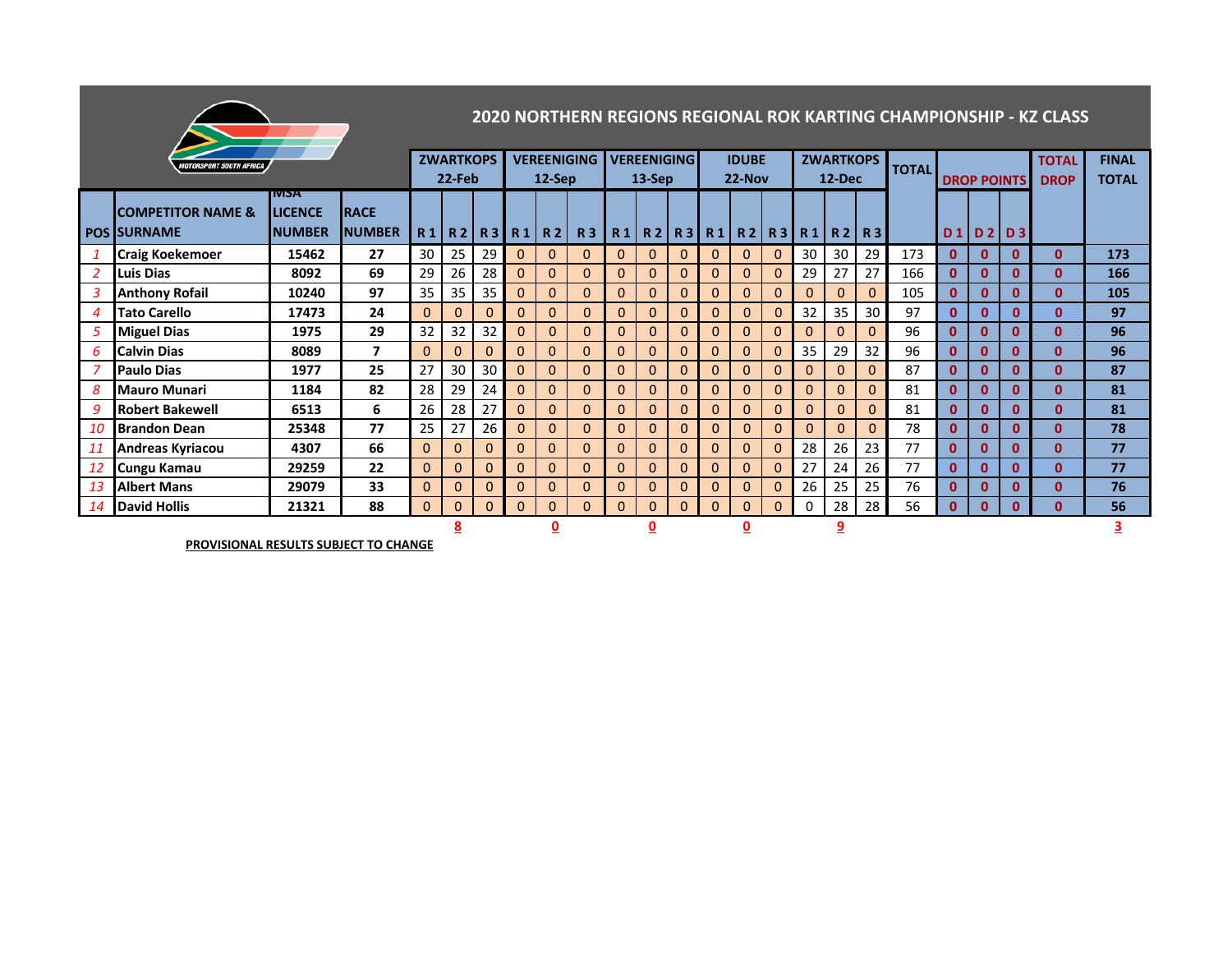|                  | 2020 NORTHERN REGIONS REGIONAL ROK KARTING CHAMPIONSHIP - KZ CLASS<br><b>VEREENIGING</b><br><b>ZWARTKOPS</b><br><b>VEREENIGING</b><br><b>ZWARTKOPS</b><br><b>IDUBE</b> |                |                         |              |          |                 |                |                |              |              |              |              |              |                                       |              |              |              |             |              |              |              |                    |              |              |
|------------------|------------------------------------------------------------------------------------------------------------------------------------------------------------------------|----------------|-------------------------|--------------|----------|-----------------|----------------|----------------|--------------|--------------|--------------|--------------|--------------|---------------------------------------|--------------|--------------|--------------|-------------|--------------|--------------|--------------|--------------------|--------------|--------------|
|                  | <b>IOTORSPORT SOUTH AFRICA</b>                                                                                                                                         |                |                         |              |          |                 |                |                |              |              |              |              |              |                                       |              |              |              |             |              |              |              |                    | <b>TOTAL</b> | <b>FINAL</b> |
|                  |                                                                                                                                                                        |                |                         |              | 22-Feb   |                 |                | $12-Sep$       |              |              | $13-$ Sep    |              |              | 22-Nov                                |              |              | 12-Dec       |             | <b>TOTAL</b> |              |              | <b>DROP POINTS</b> | <b>DROP</b>  | <b>TOTAL</b> |
|                  |                                                                                                                                                                        | <b>IVISA</b>   |                         |              |          |                 |                |                |              |              |              |              |              |                                       |              |              |              |             |              |              |              |                    |              |              |
|                  | <b>COMPETITOR NAME &amp;</b>                                                                                                                                           | <b>LICENCE</b> | <b>IRACE</b>            |              |          |                 |                |                |              |              |              |              |              |                                       |              |              |              |             |              |              |              |                    |              |              |
|                  | <b>POS SURNAME</b>                                                                                                                                                     | <b>INUMBER</b> | <b>NUMBER</b>           |              |          |                 |                | R1 R2 R3 R1 R2 |              |              |              |              |              | R3   R1   R2   R3   R1   R2   R3   R1 |              |              |              | R2 R3       |              | D1           |              | D2 D3              |              |              |
|                  | <b>Craig Koekemoer</b>                                                                                                                                                 | 15462          | 27                      | 30           | 25       | 29 <sub>1</sub> | $\mathbf{0}$   | $\mathbf{0}$   | $\mathbf{0}$ | 0            | $\mathbf{0}$ | $\mathbf{0}$ | $\mathbf{0}$ | $\mathbf{0}$                          | $\mathbf{0}$ | 30           | 30           | 29          | 173          | $\mathbf{0}$ | $\mathbf{0}$ | $\mathbf 0$        | $\mathbf{0}$ | 173          |
| 2                | <b>Luis Dias</b>                                                                                                                                                       | 8092           | 69                      | 29           | 26       | 28              | 0              | $\mathbf{0}$   | $\Omega$     | 0            | $\mathbf{0}$ | $\Omega$     | $\mathbf{0}$ | $\Omega$                              | $\Omega$     | 29           | 27           | 27          | 166          | $\mathbf{0}$ | $\mathbf{0}$ | $\bf{0}$           | $\mathbf{0}$ | 166          |
| 3                | <b>Anthony Rofail</b>                                                                                                                                                  | 10240          | 97                      | 35           | 35       | 35              | $\mathbf{0}$   | $\mathbf{0}$   | $\Omega$     | $\mathbf{0}$ | $\mathbf{0}$ | $\mathbf{0}$ | $\mathbf{0}$ | $\Omega$                              | $\mathbf{0}$ | $\mathbf{0}$ | $\Omega$     | $\Omega$    | 105          | $\mathbf{0}$ | $\mathbf{0}$ | $\mathbf{0}$       | 0            | 105          |
| $\boldsymbol{4}$ | <b>Tato Carello</b>                                                                                                                                                    | 17473          | 24                      | $\mathbf{0}$ | $\Omega$ | $\Omega$        | $\mathbf{0}$   | $\mathbf{0}$   | $\Omega$     | $\mathbf{0}$ | $\mathbf{0}$ | $\mathbf{0}$ | $\mathbf{0}$ | $\Omega$                              | $\Omega$     | 32           | 35           | 30          | 97           | $\mathbf{0}$ | $\mathbf{0}$ | 0                  | $\mathbf{0}$ | 97           |
| 5                | <b>Miguel Dias</b>                                                                                                                                                     | 1975           | 29                      | 32           | 32       | 32              | $\Omega$       | $\Omega$       | $\Omega$     | $\Omega$     | $\Omega$     | $\Omega$     | $\Omega$     | $\Omega$                              | $\Omega$     | $\Omega$     | $\Omega$     | $\Omega$    | 96           | $\mathbf{0}$ | $\mathbf{0}$ | 0                  | $\mathbf{0}$ | 96           |
| 6                | <b>Calvin Dias</b>                                                                                                                                                     | 8089           | $\overline{\mathbf{z}}$ | $\Omega$     | $\Omega$ |                 | $\overline{0}$ | $\mathbf{0}$   | $\mathbf{0}$ | 0            | $\mathbf{0}$ | $\mathbf 0$  | $\mathbf{0}$ | 0                                     | $\Omega$     | 35           | 29           | 32          | 96           | $\mathbf{0}$ | $\mathbf{0}$ | $\mathbf{0}$       | O.           | 96           |
| 7                | <b>Paulo Dias</b>                                                                                                                                                      | 1977           | 25                      | 27           | 30       | 30              | $\mathbf{0}$   | $\Omega$       | $\Omega$     | $\mathbf{0}$ | $\Omega$     | $\Omega$     | $\Omega$     | $\Omega$                              | $\Omega$     | $\mathbf{0}$ | $\Omega$     | $\Omega$    | 87           | $\mathbf{0}$ | $\mathbf{0}$ | $\mathbf{0}$       | $\mathbf{0}$ | 87           |
| 8                | <b>Mauro Munari</b>                                                                                                                                                    | 1184           | 82                      | 28           | 29       | 24              | 0              | $\mathbf{0}$   | $\Omega$     | 0            | $\mathbf{0}$ | $\mathbf{0}$ | $\mathbf{0}$ | $\Omega$                              | $\Omega$     | $\mathbf{0}$ | $\mathbf{0}$ | $\Omega$    | 81           | $\mathbf{0}$ | $\mathbf{0}$ | $\mathbf{0}$       | O            | 81           |
| 9                | <b>Robert Bakewell</b>                                                                                                                                                 | 6513           | 6                       | 26           | 28       | 27              | $\mathbf{0}$   | $\mathbf{0}$   | $\Omega$     | 0            | $\mathbf{0}$ | $\mathbf{0}$ | $\mathbf 0$  | $\Omega$                              | $\Omega$     | $\mathbf{0}$ | $\mathbf{0}$ | $\mathbf 0$ | 81           | $\mathbf{0}$ | $\mathbf{0}$ | 0                  | 0            | 81           |
| 10               | Brandon Dean                                                                                                                                                           | 25348          | 77                      | 25           | 27       | 26              | $\mathbf{0}$   | $\mathbf{0}$   | $\Omega$     | $\mathbf{0}$ | $\mathbf{0}$ | $\Omega$     | $\Omega$     | $\Omega$                              | $\Omega$     | $\Omega$     | $\Omega$     | $\Omega$    | 78           | $\mathbf{0}$ | $\mathbf{0}$ | $\mathbf{0}$       | $\mathbf{0}$ | 78           |
| 11               | <b>Andreas Kyriacou</b>                                                                                                                                                | 4307           | 66                      | $\Omega$     | $\Omega$ |                 | $\mathbf{0}$   | $\mathbf{0}$   | $\Omega$     | 0            | $\mathbf{0}$ | $\Omega$     | $\Omega$     | $\Omega$                              | $\Omega$     | 28           | 26           | 23          | 77           | $\mathbf{0}$ | $\mathbf{0}$ | $\bf{0}$           | $\mathbf{0}$ | 77           |
| 12               | Cungu Kamau                                                                                                                                                            | 29259          | 22                      | $\mathbf{0}$ | $\Omega$ | $\Omega$        | $\mathbf{0}$   | $\mathbf{0}$   | $\mathbf 0$  | 0            | $\mathbf{0}$ | $\mathbf{0}$ | $\mathbf{0}$ | $\mathbf{0}$                          | $\Omega$     | 27           | 24           | 26          | 77           | $\mathbf{0}$ | $\mathbf{0}$ | $\mathbf 0$        | $\mathbf{0}$ | 77           |
| 13               | <b>Albert Mans</b>                                                                                                                                                     | 29079          | 33                      | $\mathbf{0}$ | $\Omega$ | $\Omega$        | $\mathbf{0}$   | $\mathbf{0}$   | $\mathbf{0}$ | 0            | $\mathbf{0}$ | $\mathbf{0}$ | $\mathbf{0}$ | $\Omega$                              | $\mathbf{0}$ | 26           | 25           | 25          | 76           | $\mathbf{0}$ | $\mathbf{0}$ | 0                  | O            | 76           |
| 14               | <b>David Hollis</b>                                                                                                                                                    | 21321          | 88                      | $\mathbf{0}$ | $\Omega$ | $\Omega$        | $\mathbf{0}$   | $\Omega$       | $\Omega$     | 0            | $\mathbf{0}$ | $\Omega$     | $\mathbf{0}$ | $\Omega$                              | $\mathbf{0}$ | 0            | 28           | 28          | 56           | $\mathbf{0}$ | $\mathbf{0}$ | $\mathbf{0}$       | O            | 56           |
|                  |                                                                                                                                                                        |                |                         |              | 8        |                 |                | 0              |              |              | 0            |              |              | $\overline{\mathbf{0}}$               |              |              |              |             |              |              |              |                    |              | з            |

*Committee States*